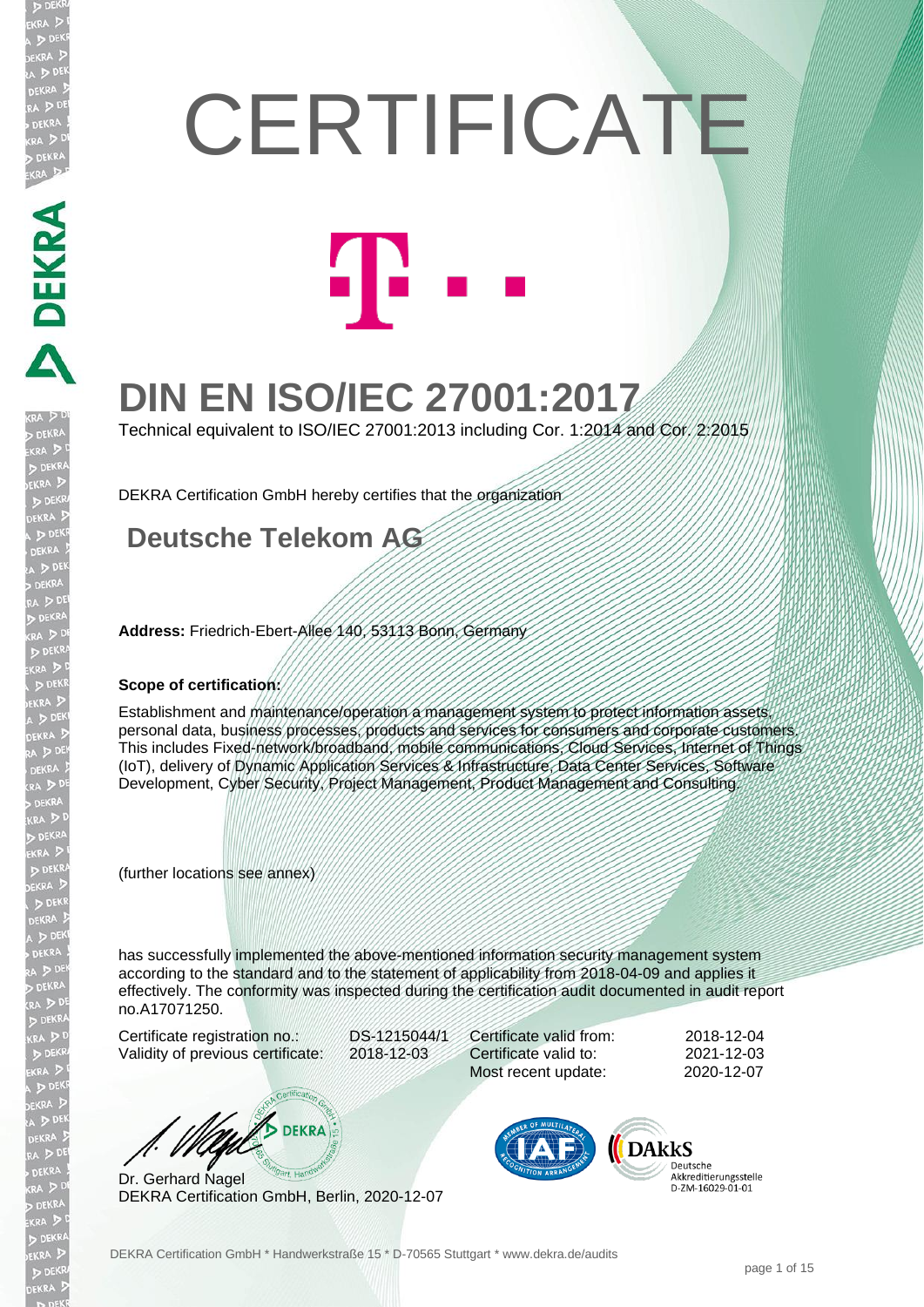# **CERTIFICATE**



## **DIN EN ISO/IEC 27001:2017**

Technical equivalent to ISO/IEC 27001:2013 including Cor. 1:2014 and Cor. 2:2015

DEKRA Certification GmbH hereby certifies that the organization

#### **Deutsche Telekom AG**

**Address:** Friedrich-Ebert-Allee 140, 53113 Bonn, Germany

#### **Scope of certification:**

DEKRA E

EKR

**EKR** 

Establishment and maintenance/operation a management system to protect information assets, personal data, business processes, products and services for consumers and corporate customers. This includes Fixed-network/broadband, mobile communications, Cloud Services, Internet of Things (IoT), delivery of Dynamic Application Services & Infrastructure, Data Center Services, Software Development, Cyber Security, Project Management, Product Management and Consulting.

(further locations see annex)

has successfully implemented the above-mentioned information security management system according to the standard and to the statement of applicability from 2018-04-09 and applies it effectively. The conformity was inspected during the certification audit documented in audit report no.A17071250.

Certificate registration no.: DS-1215044/1 Validity of previous certificate: 2018-12-03

Certificate valid from: 2018-12-04 Certificate valid to: 2021-12-03 Most recent update: 2020-12-07

**DEKRA** 

Dr. Gerhard Nagel DEKRA Certification GmbH, Berlin, 2020-12-07



Deutsche<br>Akkreditierungsstelle D-7M-16029-01-01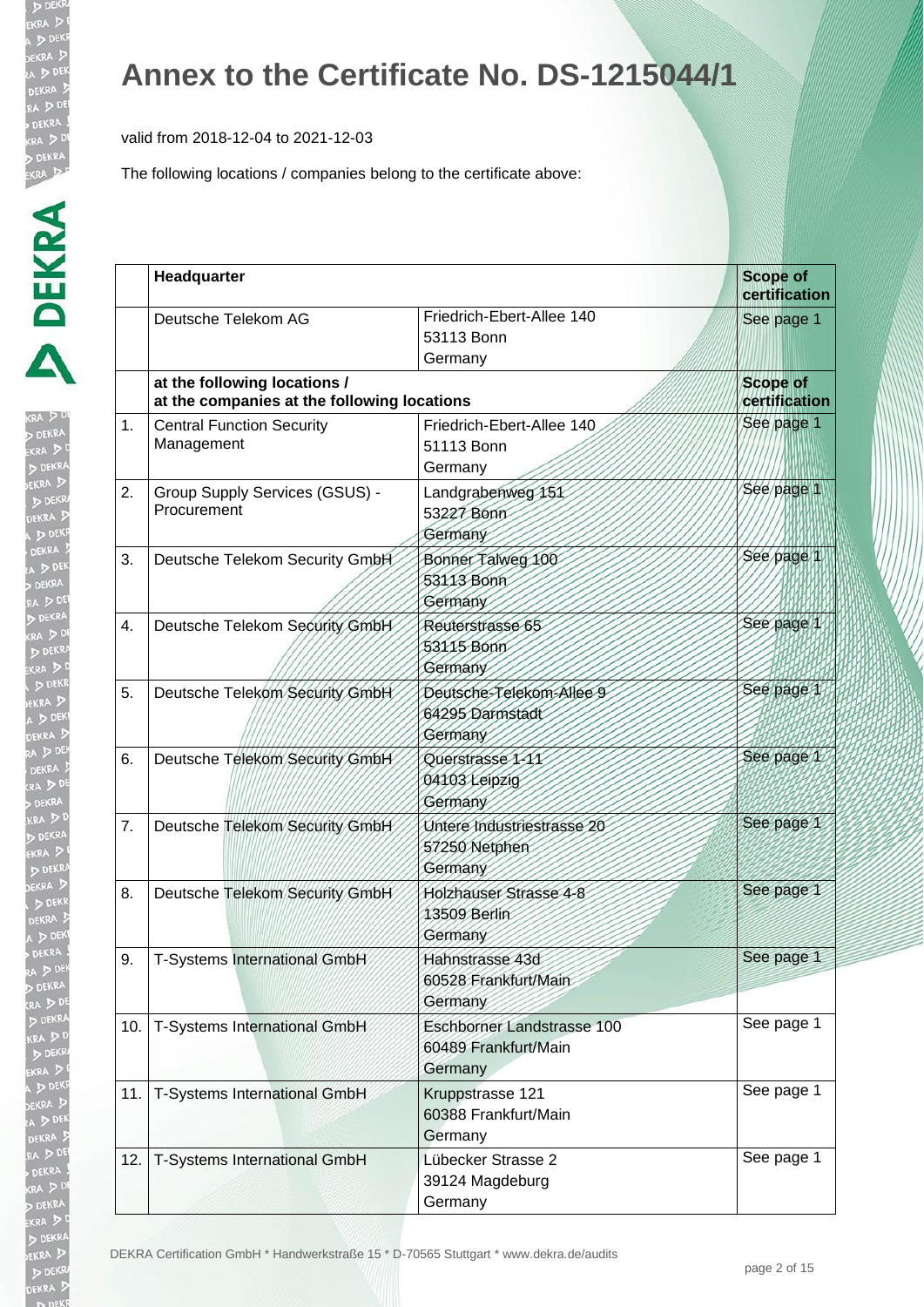valid from 2018-12-04 to 2021-12-03

| $\triangleright$ |
|------------------|
|                  |
|                  |
|                  |
|                  |
|                  |
|                  |
|                  |
|                  |
|                  |
|                  |
|                  |
|                  |
|                  |
|                  |
| l                |
|                  |
|                  |
|                  |
|                  |
|                  |
|                  |
|                  |
|                  |
|                  |
|                  |
|                  |
|                  |
|                  |
|                  |
|                  |
|                  |
|                  |
| j                |
|                  |
| j                |
|                  |
|                  |
| 1                |
|                  |
|                  |
| I                |
|                  |
| ļ                |
|                  |
|                  |
|                  |
| ļ<br>j           |
|                  |

|     | Headquarter                                                                 |                                                               | <b>Scope of</b><br>certification |
|-----|-----------------------------------------------------------------------------|---------------------------------------------------------------|----------------------------------|
|     | Deutsche Telekom AG                                                         | Friedrich-Ebert-Allee 140<br>53113 Bonn<br>Germany            | See page 1                       |
|     | at the following locations /<br>at the companies at the following locations |                                                               | <b>Scope of</b><br>certification |
| 1.  | <b>Central Function Security</b><br>Management                              | Friedrich-Ebert-Allee 140<br>51113 Bonn<br>Germany            | See page 1                       |
| 2.  | Group Supply Services (GSUS) -<br>Procurement                               | Landgrabenweg 151<br>53227 Bonn<br>Germany                    | See page 1                       |
| 3.  | Deutsche Telekom Security GmbH                                              | Bonner Talweg 100<br>53113 Bonn<br>Germany                    | See page 1                       |
| 4.  | Deutsche Telekom Security GmbH                                              | Reuterstrasse 65<br>53115 Bonn<br>Germany                     | See page 1                       |
| 5.  | Deutsche Telekom Security GmbH                                              | Deutsche-Telekom-Allee 9<br>64295 Darmstadt<br>Germany        | See page 1                       |
| 6.  | Deutsche Telekom Security GmbH                                              | Querstrasse 1-11<br>04103 Leipzig<br>Germany                  | See page 1                       |
| 7.  | Deutsche Telekom Security GmbH                                              | Untere Industriestrasse 20<br>57250 Netphen<br>Germany        | See page 1                       |
| 8.  | Deutsche Telekom Security GmbH                                              | Holzhauser Strasse 4-8<br>13509 Berlin<br>Germany             | See page 1                       |
| 9.  | T-Systems International GmbH                                                | Hahnstrasse 43d<br>60528 Frankfurt/Main<br>Germany            | See page 1                       |
| 10. | T-Systems International GmbH                                                | Eschborner Landstrasse 100<br>60489 Frankfurt/Main<br>Germany | See page 1                       |
| 11. | T-Systems International GmbH                                                | Kruppstrasse 121<br>60388 Frankfurt/Main<br>Germany           | See page 1                       |
| 12. | T-Systems International GmbH                                                | Lübecker Strasse 2<br>39124 Magdeburg<br>Germany              | See page 1                       |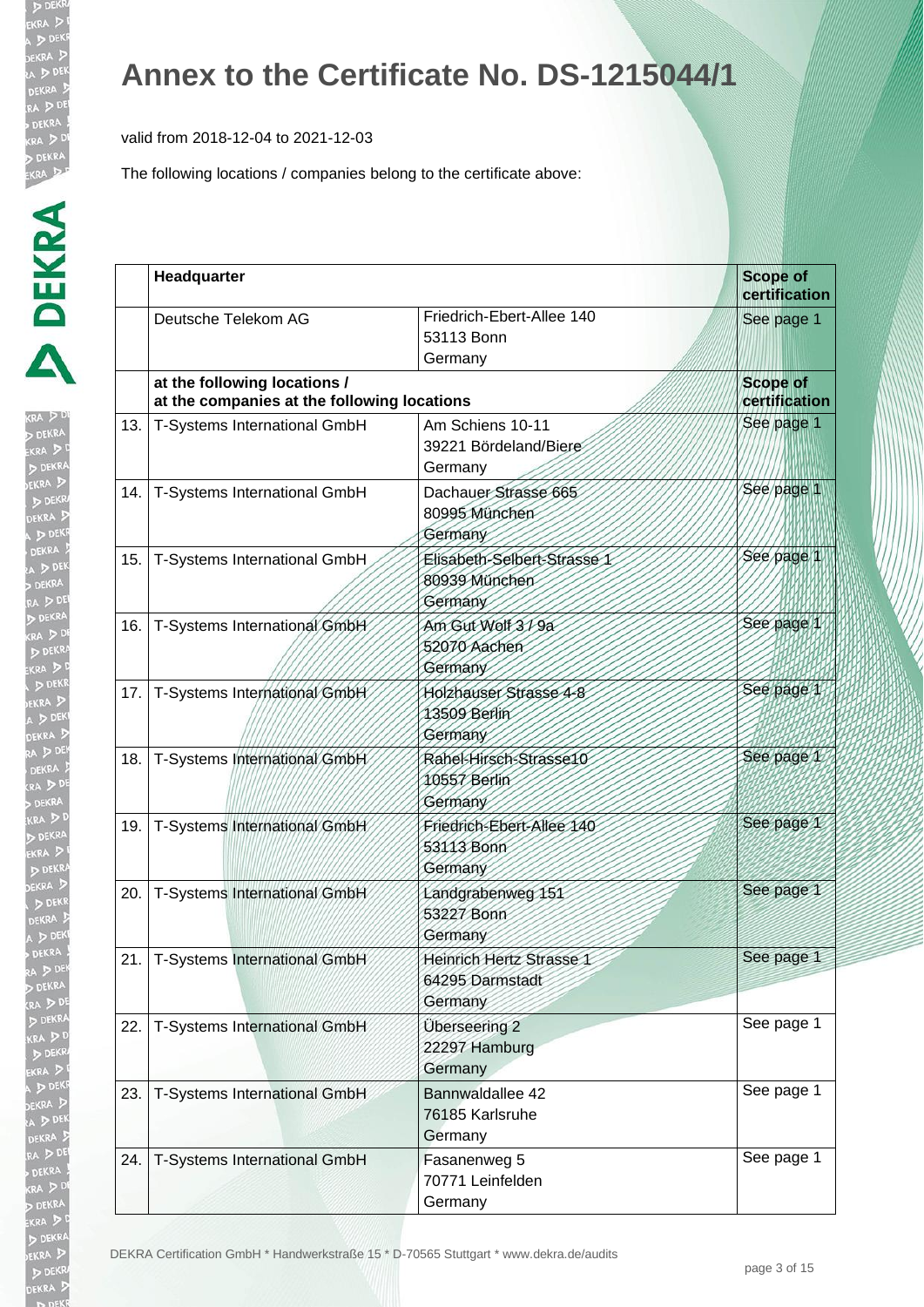valid from 2018-12-04 to 2021-12-03

The following locations / companies belong to the certificate above:

| l |
|---|
|   |
|   |
|   |
|   |
|   |
|   |
|   |
|   |
|   |
|   |
|   |
|   |
|   |
|   |
|   |
|   |
|   |
| I |
|   |
|   |
|   |
|   |
|   |
|   |
|   |
|   |
|   |
|   |
|   |
|   |
|   |
|   |
|   |
|   |
|   |
|   |
| J |
|   |
| j |
|   |
|   |
|   |
|   |
|   |
|   |
|   |
|   |
|   |
|   |
| I |
| ı |
|   |

|     | Headquarter                                                                 |                                                         | <b>Scope of</b><br>certification |
|-----|-----------------------------------------------------------------------------|---------------------------------------------------------|----------------------------------|
|     | Deutsche Telekom AG                                                         | Friedrich-Ebert-Allee 140<br>53113 Bonn<br>Germany      | See page 1                       |
|     | at the following locations /<br>at the companies at the following locations |                                                         | <b>Scope of</b><br>certification |
| 13. | T-Systems International GmbH                                                | Am Schiens 10-11<br>39221 Bördeland/Biere<br>Germany    | See page 1                       |
| 14. | T-Systems International GmbH                                                | Dachauer Strasse 665<br>80995 München<br>Germany        | See page 1                       |
| 15. | T-Systems International GmbH                                                | Elisabeth-Selbert-Strasse 1<br>80939 München<br>Germany | See page 1                       |
| 16. | T-Systems International GmbH                                                | Am Gut Wolf 3/9a<br>52070 Aachen<br>Germany             | See page 1                       |
| 17. | T-Systems International GmbH                                                | Holzhauser Strasse 4-8<br>13509 Berlin<br>Germany       | See page 1                       |
| 18. | T-Systems International GmbH                                                | Rahel-Hirsch-Strasse10<br>10557 Berlin<br>Germany       | See page 1                       |
| 19. | T-Systems International GmbH                                                | Friedrich-Ebert-Allee 140<br>53113 Bonn<br>Germany      | See page 1                       |
| 20. | T-Systems International GmbH                                                | Landgrabenweg 151<br>53227 Bonn<br>Germany              | See page 1                       |
| 21. | T-Systems International GmbH                                                | Heinrich Hertz Strasse 1<br>64295 Darmstadt<br>Germany  | See page 1                       |
| 22. | T-Systems International GmbH                                                | Überseering 2<br>22297 Hamburg<br>Germany               | See page 1                       |
| 23. | T-Systems International GmbH                                                | Bannwaldallee 42<br>76185 Karlsruhe<br>Germany          | See page 1                       |
| 24. | T-Systems International GmbH                                                | Fasanenweg 5<br>70771 Leinfelden<br>Germany             | See page 1                       |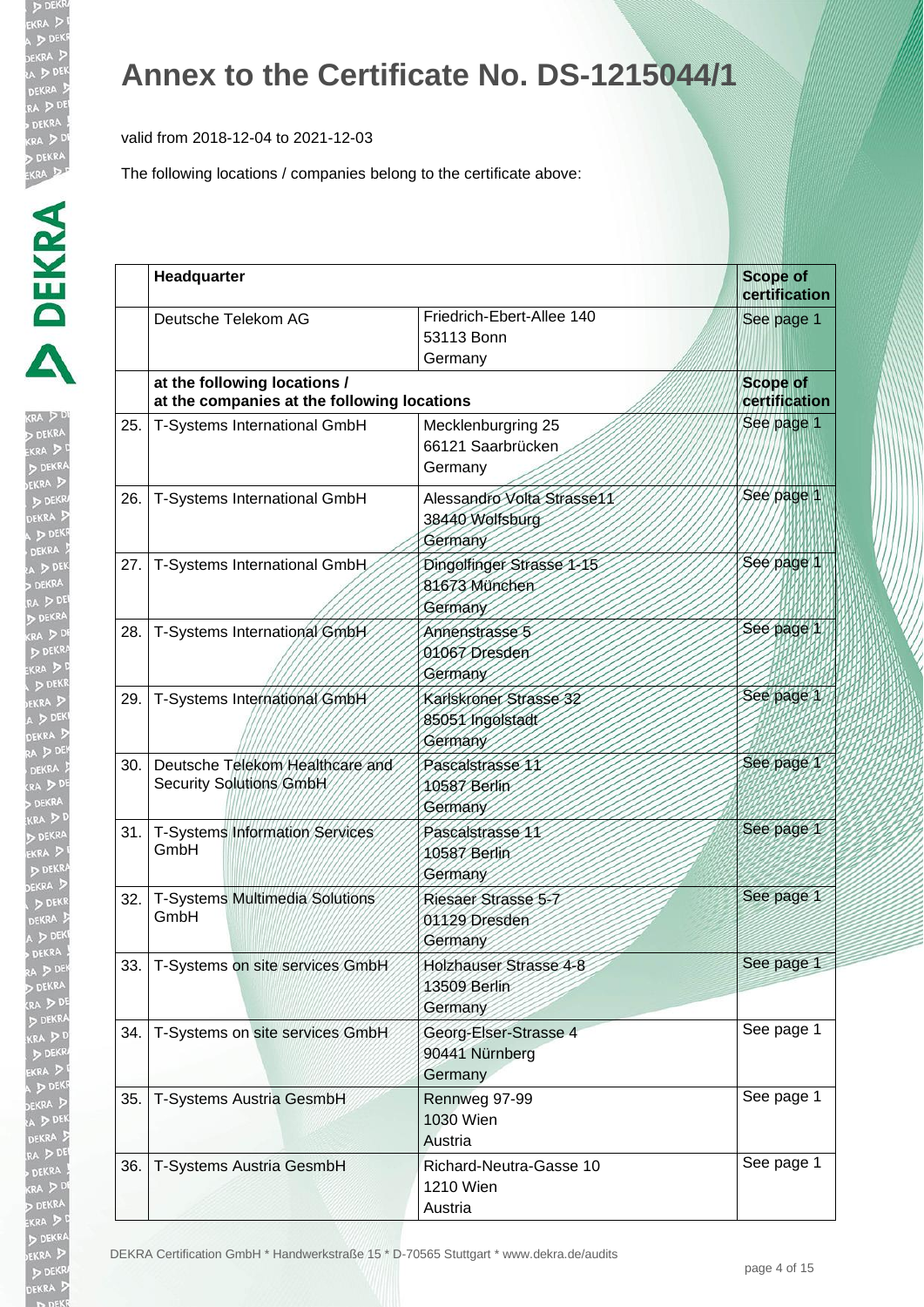valid from 2018-12-04 to 2021-12-03

| 叮<br>RA       |
|---------------|
| 人名            |
| s.            |
|               |
|               |
| i<br>P        |
|               |
| KI<br>P       |
|               |
|               |
|               |
| $\frac{1}{2}$ |
|               |
|               |
|               |
| ξ             |
|               |
| $\geq 0$      |
|               |
| Ī             |
| 3             |
| Ŀ<br>Þ        |
| l             |
| j             |
|               |
|               |
|               |
|               |
|               |
|               |
|               |
| i             |
|               |
|               |
|               |
|               |
|               |
|               |
|               |
| ١             |
|               |
|               |
|               |
|               |
|               |
|               |
|               |
|               |
|               |
|               |
|               |
|               |
|               |
|               |
|               |
|               |
|               |

|     | Headquarter                                                                 |                                                          | <b>Scope of</b><br>certification |
|-----|-----------------------------------------------------------------------------|----------------------------------------------------------|----------------------------------|
|     | Deutsche Telekom AG                                                         | Friedrich-Ebert-Allee 140<br>53113 Bonn<br>Germany       | See page 1                       |
|     | at the following locations /<br>at the companies at the following locations |                                                          | <b>Scope of</b><br>certification |
| 25. | T-Systems International GmbH                                                | Mecklenburgring 25<br>66121 Saarbrücken<br>Germany       | See page 1                       |
| 26. | T-Systems International GmbH                                                | Alessandro Volta Strasse11<br>38440 Wolfsburg<br>Germany | See page 1                       |
| 27. | T-Systems International GmbH                                                | Dingolfinger Strasse 1-15<br>81673 München<br>Germany    | Sée page 1                       |
| 28. | T-Systems International GmbH                                                | Annenstrasse 5<br>01067 Dresden<br>Germany               | See page 1                       |
| 29. | T-Systems International GmbH                                                | Karlskroner Strasse 32<br>85051 Ingolstadt<br>Germany    | See page 1                       |
| 30. | Deutsche Telekom Healthcare and<br>Security Solutions GmbH                  | Pascalstrasse 11<br>10587 Berlin<br>Germany              | See page 1                       |
| 31. | T-Systems Information Services<br>GmbH                                      | Pascalstrasse 11<br>10587 Berlin<br>Germany              | See page 1                       |
| 32. | T-Systems Multimedia Solutions<br>GmbH                                      | Riesaer Strasse 5-7<br>01129 Dresden<br>Germany          | See page 1                       |
|     | 33.   T-Systems on site services GmbH                                       | Holzhauser Strasse 4-8<br>13509 Berlin<br>Germany        | See page 1                       |
| 34. | T-Systems on site services GmbH                                             | Georg-Elser-Strasse 4<br>90441 Nürnberg<br>Germany       | See page 1                       |
| 35. | T-Systems Austria GesmbH                                                    | Rennweg 97-99<br>1030 Wien<br>Austria                    | See page 1                       |
| 36. | T-Systems Austria GesmbH                                                    | Richard-Neutra-Gasse 10<br>1210 Wien<br>Austria          | See page 1                       |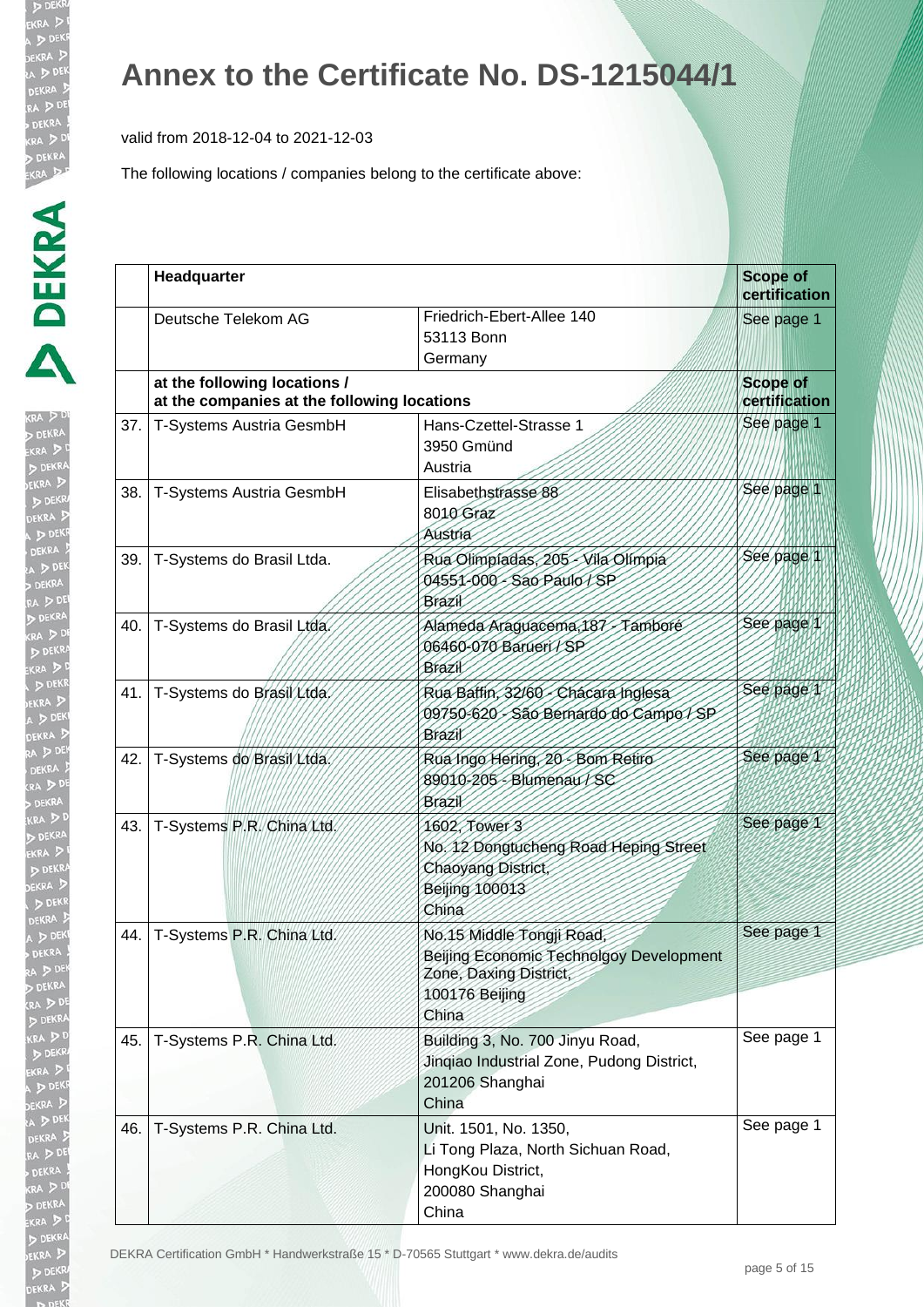valid from 2018-12-04 to 2021-12-03

| ŀ                    |
|----------------------|
| Ì                    |
|                      |
|                      |
|                      |
|                      |
|                      |
|                      |
|                      |
|                      |
| j                    |
|                      |
|                      |
|                      |
|                      |
|                      |
|                      |
|                      |
|                      |
| $\ddot{\phantom{a}}$ |
| ì                    |
|                      |
|                      |
|                      |
|                      |
|                      |
| l                    |
|                      |
|                      |
|                      |
|                      |
|                      |
| $\ddot{}}$           |
|                      |
|                      |
|                      |
|                      |
|                      |
|                      |
|                      |
|                      |
|                      |
|                      |
|                      |
|                      |
|                      |
|                      |
|                      |
|                      |
|                      |
|                      |
|                      |
|                      |
|                      |
|                      |
|                      |
|                      |
|                      |
|                      |
|                      |

|       | Headquarter                                                                 |                                                                                                                           | <b>Scope of</b><br>certification |
|-------|-----------------------------------------------------------------------------|---------------------------------------------------------------------------------------------------------------------------|----------------------------------|
|       | Deutsche Telekom AG                                                         | Friedrich-Ebert-Allee 140<br>53113 Bonn<br>Germany                                                                        | See page 1                       |
|       | at the following locations /<br>at the companies at the following locations |                                                                                                                           | <b>Scope of</b><br>certification |
| 37.   | T-Systems Austria GesmbH                                                    | Hans-Czettel-Strasse 1<br>3950 Gmünd<br>Austria                                                                           | See page 1                       |
| 38.   | T-Systems Austria GesmbH                                                    | Elisabethstrasse 88<br>8010 Graz<br>Austria                                                                               | See page 1                       |
| 39.   | T-Systems do Brasil Ltda.                                                   | Rua Olimpiadas, 205 - Vila Olimpia<br>04551-000 - Sao Paulo / SP<br>Brazil                                                | See page 1                       |
| 40.   | T-Systems do Brasil Ltda.                                                   | Famboré<br>Alameda Araguacema, 187<br>06460-070 Barueri / SP<br>Brazil                                                    | See page                         |
| 41.   | T-Systems do Brasil Ltda.                                                   | Rua Battin, 32/60 - Chacara Inglesa<br>09750-620 - São Bernardo do Campo / SP<br>Brazil                                   | See page 1                       |
| 42.   | T-Systems do Brasil Ltda.                                                   | Rua Ingo Hering, 20 - Bom Retiro<br>89010-205 - Blumenau / SC<br>Brazil                                                   | See page 1                       |
| 43.   | T-Systems P.R. China Ltd.                                                   | 1602, Tower 3<br>No. 12 Dongtucheng Road Heping Street<br>Chaoyang District,<br><b>Beijing 100013</b><br>China            | See page 1                       |
| 44. l | T-Systems P.R. China Ltd.                                                   | No.15 Middle Tongji Road,<br>Beijing Economic Technolgoy Development<br>Zone, Daxing District,<br>100176 Beijing<br>China | See page 1                       |
| 45.   | T-Systems P.R. China Ltd.                                                   | Building 3, No. 700 Jinyu Road,<br>Jinqiao Industrial Zone, Pudong District,<br>201206 Shanghai<br>China                  | See page 1                       |
| 46.   | T-Systems P.R. China Ltd.                                                   | Unit. 1501, No. 1350,<br>Li Tong Plaza, North Sichuan Road,<br>HongKou District,<br>200080 Shanghai<br>China              | See page 1                       |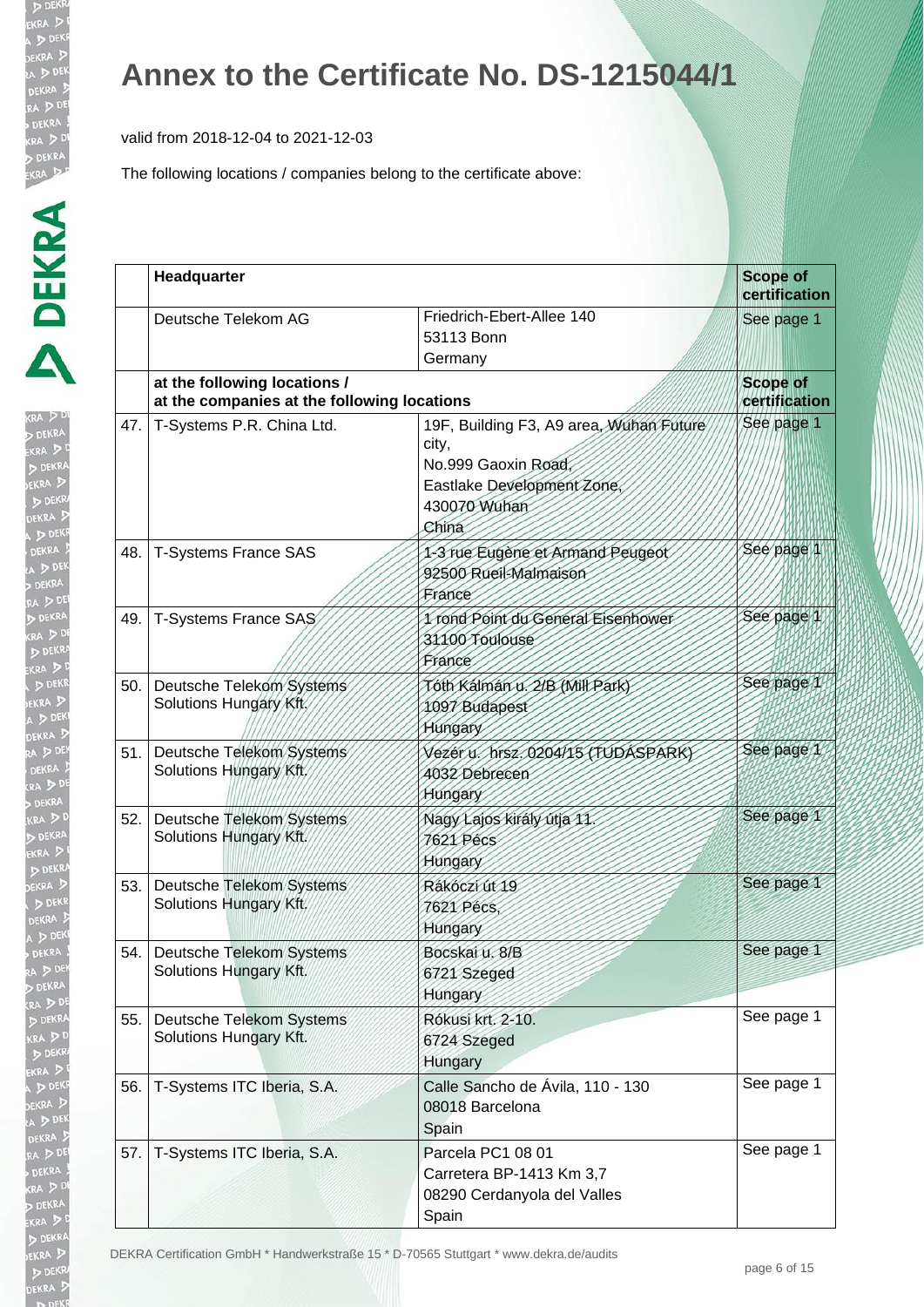valid from 2018-12-04 to 2021-12-03

| þ |
|---|
|   |
|   |
| j |
|   |
|   |
|   |
|   |
|   |
|   |
|   |
|   |

|     | Headquarter                                                                 |                                                                                                                                | <b>Scope of</b><br>certification |
|-----|-----------------------------------------------------------------------------|--------------------------------------------------------------------------------------------------------------------------------|----------------------------------|
|     | Deutsche Telekom AG                                                         | Friedrich-Ebert-Allee 140<br>53113 Bonn<br>Germany                                                                             | See page 1                       |
|     | at the following locations /<br>at the companies at the following locations |                                                                                                                                | <b>Scope of</b><br>certification |
| 47. | T-Systems P.R. China Ltd.                                                   | 19F, Building F3, A9 area, Wuhan Future<br>city,<br>No.999 Gaoxin Road,<br>Eastlake Development Zone,<br>430070 Wuhan<br>China | See page 1                       |
| 48. | <b>T-Systems France SAS</b>                                                 | 1-3 rue Eugène et Armand Peugeot<br>92500 Rueil-Malmaison<br>France                                                            | See page 1                       |
| 49. | T-Systems France SAS                                                        | 1 rond Point du General Eisenhower<br>31100 Toulouse<br>France                                                                 | See page 1                       |
| 50. | Deutsche Telekom Systems<br>Solutions Hungary Kft.                          | Tóth Kálmán v. 2/B (Mill Park)<br>1097 Budapest<br>Hungary                                                                     | See page 1                       |
| 51. | Deutsche Telekom Systems<br>Solutions Hungary Kft                           | Vézér ú. hrsz. 0204/15 (FUDASPARK)<br>4032 Debrecen<br>Hungary                                                                 | See page 1                       |
| 52. | Deutsche Telekom Systems<br>Solutions Hungary Kft.                          | Nagy Lajos király útja 11.<br>7621 Pécs<br>Hungary                                                                             | See page 1                       |
| 53. | Deutsche Telekom Systems<br>Solutions Hungary Kft.                          | Rákóczi út 19<br>7621 Pécs.<br>Hungary                                                                                         | See page 1                       |
| 54. | Deutsche Telekom Systems<br>Solutions Hungary Kft.                          | Bocskai u. 8/B<br>6721 Szeged<br>Hungary                                                                                       | See page 1                       |
| 55. | Deutsche Telekom Systems<br>Solutions Hungary Kft.                          | Rókusi krt. 2-10.<br>6724 Szeged<br>Hungary                                                                                    | See page 1                       |
| 56. | T-Systems ITC Iberia, S.A.                                                  | Calle Sancho de Ávila, 110 - 130<br>08018 Barcelona<br>Spain                                                                   | See page 1                       |
| 57. | T-Systems ITC Iberia, S.A.                                                  | Parcela PC1 08 01<br>Carretera BP-1413 Km 3,7<br>08290 Cerdanyola del Valles<br>Spain                                          | See page 1                       |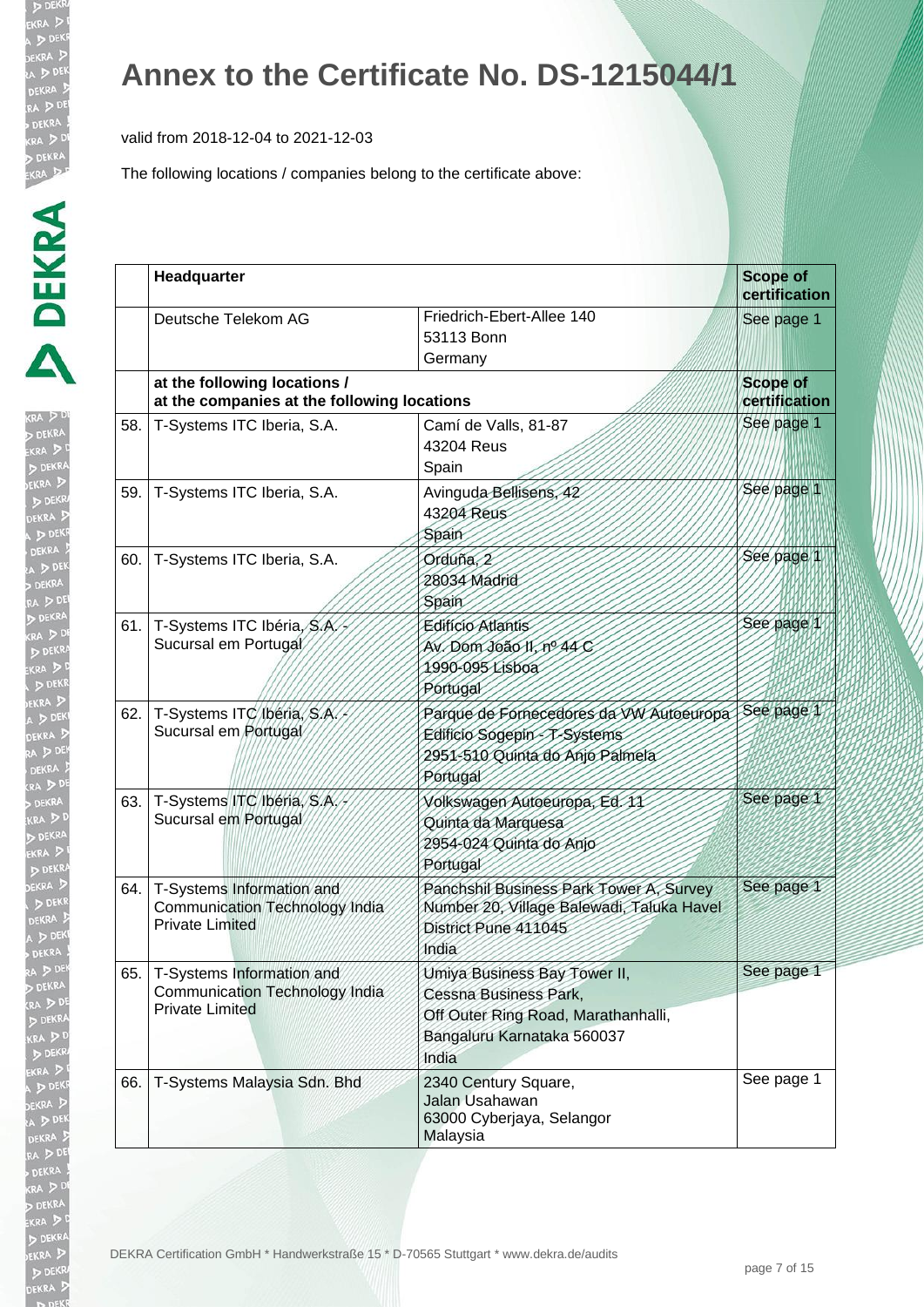valid from 2018-12-04 to 2021-12-03

| $\frac{1}{2}$                 |
|-------------------------------|
|                               |
| ι<br>$\overline{\phantom{a}}$ |
|                               |
|                               |
|                               |
|                               |
|                               |
|                               |
|                               |
|                               |
|                               |
|                               |
|                               |
|                               |
|                               |
|                               |
|                               |
|                               |
|                               |
|                               |
|                               |
|                               |
|                               |
|                               |
|                               |
|                               |
|                               |
|                               |
|                               |
|                               |
|                               |
|                               |
|                               |

|     | Headquarter                                                                           |                                                                                                                                     | <b>Scope of</b><br>certification |
|-----|---------------------------------------------------------------------------------------|-------------------------------------------------------------------------------------------------------------------------------------|----------------------------------|
|     | Deutsche Telekom AG                                                                   | Friedrich-Ebert-Allee 140<br>53113 Bonn<br>Germany                                                                                  | See page 1                       |
|     | at the following locations /<br>at the companies at the following locations           |                                                                                                                                     | <b>Scope of</b><br>certification |
| 58. | T-Systems ITC Iberia, S.A.                                                            | Camí de Valls, 81-87<br>43204 Reus<br>Spain                                                                                         | See page 1                       |
| 59. | T-Systems ITC Iberia, S.A.                                                            | Avinguda Bellisens, 42<br>43204 Reus<br>Spain                                                                                       | See page 1                       |
| 60. | T-Systems ITC Iberia, S.A.                                                            | Orduña, 2<br>28034 Madrid<br>Spain                                                                                                  | See page                         |
| 61. | T-Systems ITC Ibéria, S.A.<br>Sucursal em Portugal                                    | <b>Editicio Atlantis</b><br>Av. Dom João II, nº 44 C<br>1990-095 Lisboa<br>Portugal                                                 | See page                         |
| 62. | T-Systems ITC Ibéria, S.A.<br>Sucursal em Portugal                                    | Parque de Fornecedores da VW Autoeuropa<br>Edificio Sogepin T-Systems<br>2951-510 Quinta do Anjo Palmela<br>Portugal                | See page 1                       |
| 63. | T-Systems ITC Ibéria, S.A.<br>Sucursal em Portugal                                    | Volkswagen Autoeuropa, Ed. 11<br>Quinta da Marquesa<br>2954-024 Quinta do Anjo<br>Portugal                                          | See page 1                       |
| 64. | T-Systems Information and<br>Communication Technology India<br><b>Private Limited</b> | Panchshil Business Park Tower A, Survey<br>Number 20, Village Balewadi, Taluka Havel<br>District Pune 411045<br>India               | See page 1                       |
| 65. | T-Systems Information and<br>Communication Technology India<br><b>Private Limited</b> | Umiya Business Bay Tower II,<br>Cessna Business Park,<br>Off Outer Ring Road, Marathanhalli,<br>Bangaluru Karnataka 560037<br>India | See page 1                       |
| 66. | T-Systems Malaysia Sdn. Bhd                                                           | 2340 Century Square,<br>Jalan Usahawan<br>63000 Cyberjaya, Selangor<br>Malaysia                                                     | See page 1                       |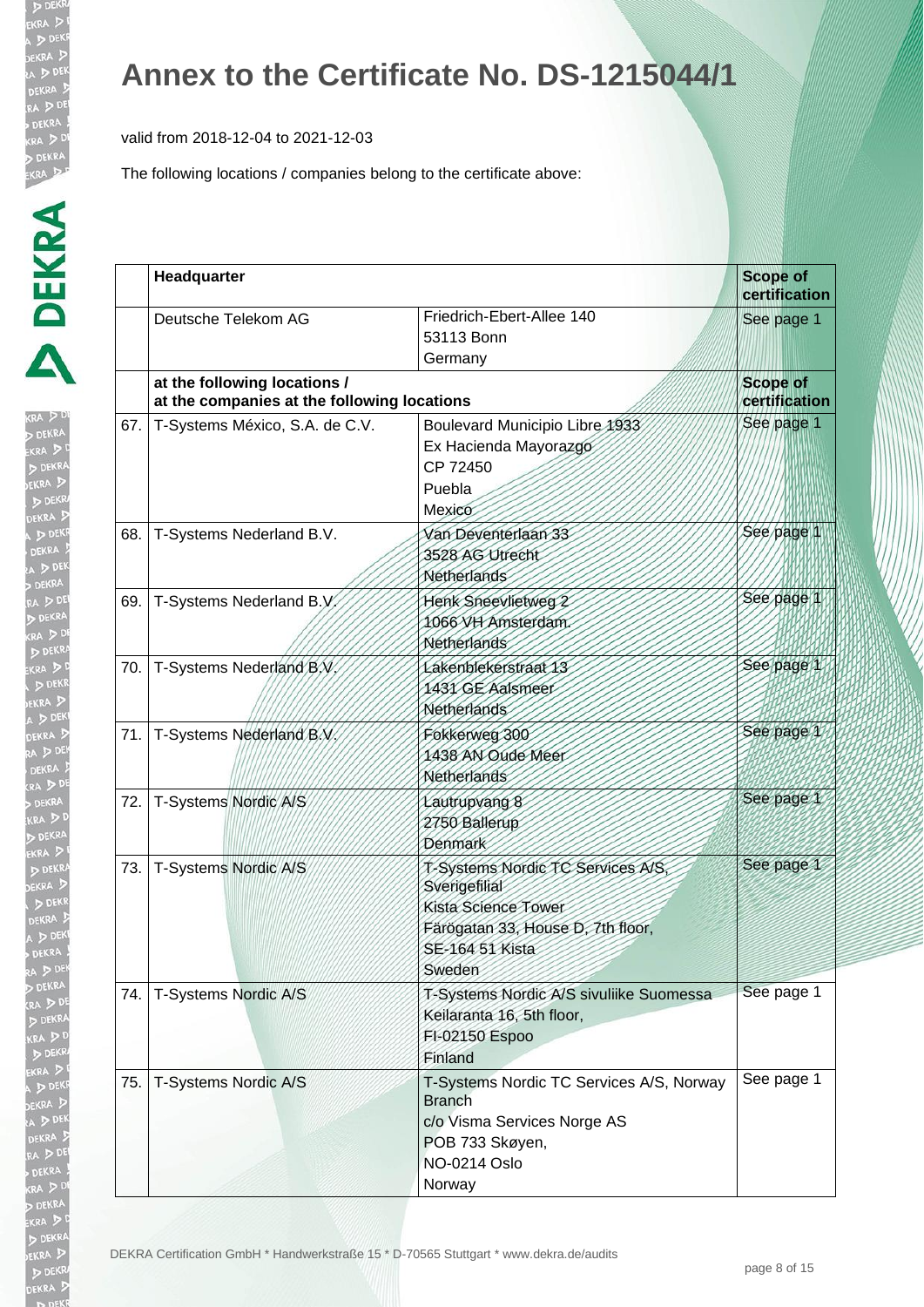valid from 2018-12-04 to 2021-12-03

| ī |
|---|
| Î |
|   |
|   |
|   |
|   |
|   |
|   |
|   |
|   |
|   |
|   |
|   |
|   |
|   |
|   |
|   |
|   |
|   |
|   |
|   |
|   |
|   |
| J |
|   |
|   |
|   |
|   |
|   |
|   |
|   |
|   |
|   |
|   |
|   |
|   |
|   |
|   |
|   |
|   |
|   |
|   |
|   |
|   |
|   |
| 1 |
| ļ |
|   |
| I |
|   |
|   |
|   |
|   |
|   |
|   |
|   |

|     | Headquarter                                                                 |                                                                                                                                             | <b>Scope of</b><br>certification |
|-----|-----------------------------------------------------------------------------|---------------------------------------------------------------------------------------------------------------------------------------------|----------------------------------|
|     | Deutsche Telekom AG                                                         | Friedrich-Ebert-Allee 140<br>53113 Bonn<br>Germany                                                                                          | See page 1                       |
|     | at the following locations /<br>at the companies at the following locations |                                                                                                                                             | <b>Scope of</b><br>certification |
| 67. | T-Systems México, S.A. de C.V.                                              | Boulevard Municipio Libre 1933<br>Ex Hacienda Mayorazgo<br>CP 72450<br>Puebla<br>Mexico                                                     | See page 1                       |
| 68. | T-Systems Nederland B.V.                                                    | Van Deventerlaan 33<br>3528 AG Utrecht<br>Netherlands                                                                                       | See page                         |
| 69. | T-Systems Nederland B.V.                                                    | Henk Sneevlietweg 2<br>1066 VH Amsterdam.<br>Netherlands                                                                                    | See page                         |
| 70. | T-Systems Nederland B.V.                                                    | Lakenblekerstraat 13<br>1431 GE Aalsmeer<br>Netherlands                                                                                     | See page 1                       |
| 71. | T-Systems Nederland B.V.                                                    | Fokkerweg 300<br>1438 AN Oude Meer<br>Netherlands                                                                                           | See page 1                       |
| 72. | T-Systems Nordic A/S                                                        | Lautrupvang 8<br>2750 Ballerup<br>Denmark                                                                                                   | See page 1                       |
| 73. | T-Systems Nordic A/S                                                        | T-Systems Nordic TC Services A/S,<br>Sverigefilial<br>Kista Science Tower<br>Färögatan 33, House D, 7th floor,<br>SE-164 51 Kista<br>Sweden | See page 1                       |
| 74. | T-Systems Nordic A/S                                                        | T-Systems Nordic A/S sivuliike Suomessa<br>Keilaranta 16, 5th floor,<br>FI-02150 Espoo<br>Finland                                           | See page 1                       |
| 75. | T-Systems Nordic A/S                                                        | T-Systems Nordic TC Services A/S, Norway<br><b>Branch</b><br>c/o Visma Services Norge AS<br>POB 733 Skøyen,<br>NO-0214 Oslo<br>Norway       | See page 1                       |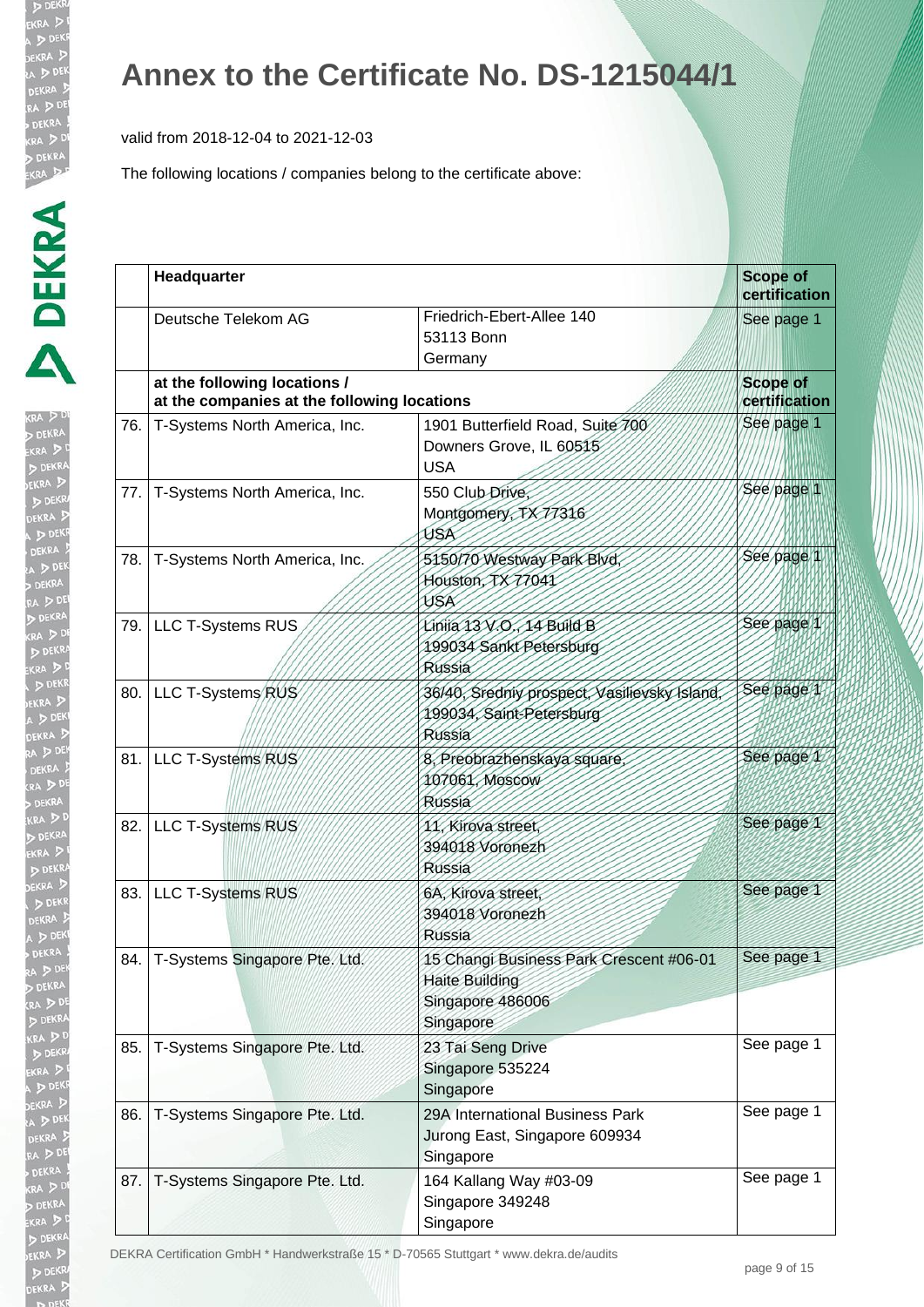valid from 2018-12-04 to 2021-12-03

The following locations / companies belong to the certificate above:

| I.                   |
|----------------------|
| RA ,<br>p            |
|                      |
| $\frac{1}{2}$        |
|                      |
| ŀ<br>ı               |
|                      |
| j<br>ļ               |
|                      |
| Ľ<br>$\frac{1}{2}$   |
|                      |
| را<br>$\frac{1}{2}$  |
|                      |
|                      |
| к<br>2               |
| EK                   |
| EKRA<br>1<br>b       |
| $\frac{1}{2}$<br>ŝ   |
| ļ                    |
| Ì,                   |
| i<br>Controller<br>j |
| I                    |
|                      |
| l                    |
| ו<br>וואס            |
| 9                    |
|                      |
|                      |
|                      |
| $\ddot{}}$           |
| KF                   |
|                      |
|                      |
| j                    |
|                      |
|                      |
|                      |
|                      |
| l.<br>j              |
|                      |
| j                    |
|                      |
|                      |
|                      |
| ß                    |
| ١                    |
| j                    |
|                      |
| Į<br>t               |
|                      |
|                      |
|                      |
|                      |
|                      |

|      | Headquarter                                                                 |                                                                                                   | <b>Scope of</b><br>certification |
|------|-----------------------------------------------------------------------------|---------------------------------------------------------------------------------------------------|----------------------------------|
|      | Deutsche Telekom AG                                                         | Friedrich-Ebert-Allee 140<br>53113 Bonn<br>Germany                                                | See page 1                       |
|      | at the following locations /<br>at the companies at the following locations |                                                                                                   | <b>Scope of</b><br>certification |
| 76.  | T-Systems North America, Inc.                                               | 1901 Butterfield Road, Suite 700<br>Downers Grove, IL 60515<br><b>USA</b>                         | See page 1                       |
| 77.  | T-Systems North America, Inc.                                               | 550 Club Drive,<br>Montgomery, TX 77316<br>USA                                                    | See page 1                       |
| 78.  | T-Systems North America, Inc.                                               | 5150/70 Westway Park Blvd,<br>Houston, TX77041<br>USA                                             | See page 1                       |
|      | 79. LLC T-Systems RUS                                                       | Linija 13 V.O. 14 Build B<br>199034 Sankt Petersburg<br><b>Russia</b>                             | See page 1                       |
| 80.  | LLC T-Systems RUS                                                           | 36/40, Sredniy prospect, Vasilievsky Island,<br>199034, Saint-Petersburg<br>Russia                | See page 1                       |
|      | 81. LLC T-Systems RUS                                                       | 8. Preobrazhenskaya square<br>107061, Moscow<br>Russia                                            | See page 1                       |
| 82.1 | LLC T-Systems RUS                                                           | 11. Kirova street.<br>394018 Voronezh<br>Russia                                                   | See page 1                       |
| 83.  | <b>LLC T-Systems RUS</b>                                                    | 6A, Kirova street,<br>394018 Voronezh<br>Russia                                                   | See page 1                       |
| 84.  | T-Systems Singapore Pte. Ltd.                                               | 15 Changi Business Park Crescent #06-01<br><b>Haite Building</b><br>Singapore 486006<br>Singapore | See page 1                       |
| 85.  | T-Systems Singapore Pte. Ltd.                                               | 23 Tai Seng Drive<br>Singapore 535224<br>Singapore                                                | See page 1                       |
| 86.  | T-Systems Singapore Pte. Ltd.                                               | 29A International Business Park<br>Jurong East, Singapore 609934<br>Singapore                     | See page 1                       |
| 87.  | T-Systems Singapore Pte. Ltd.                                               | 164 Kallang Way #03-09<br>Singapore 349248<br>Singapore                                           | See page 1                       |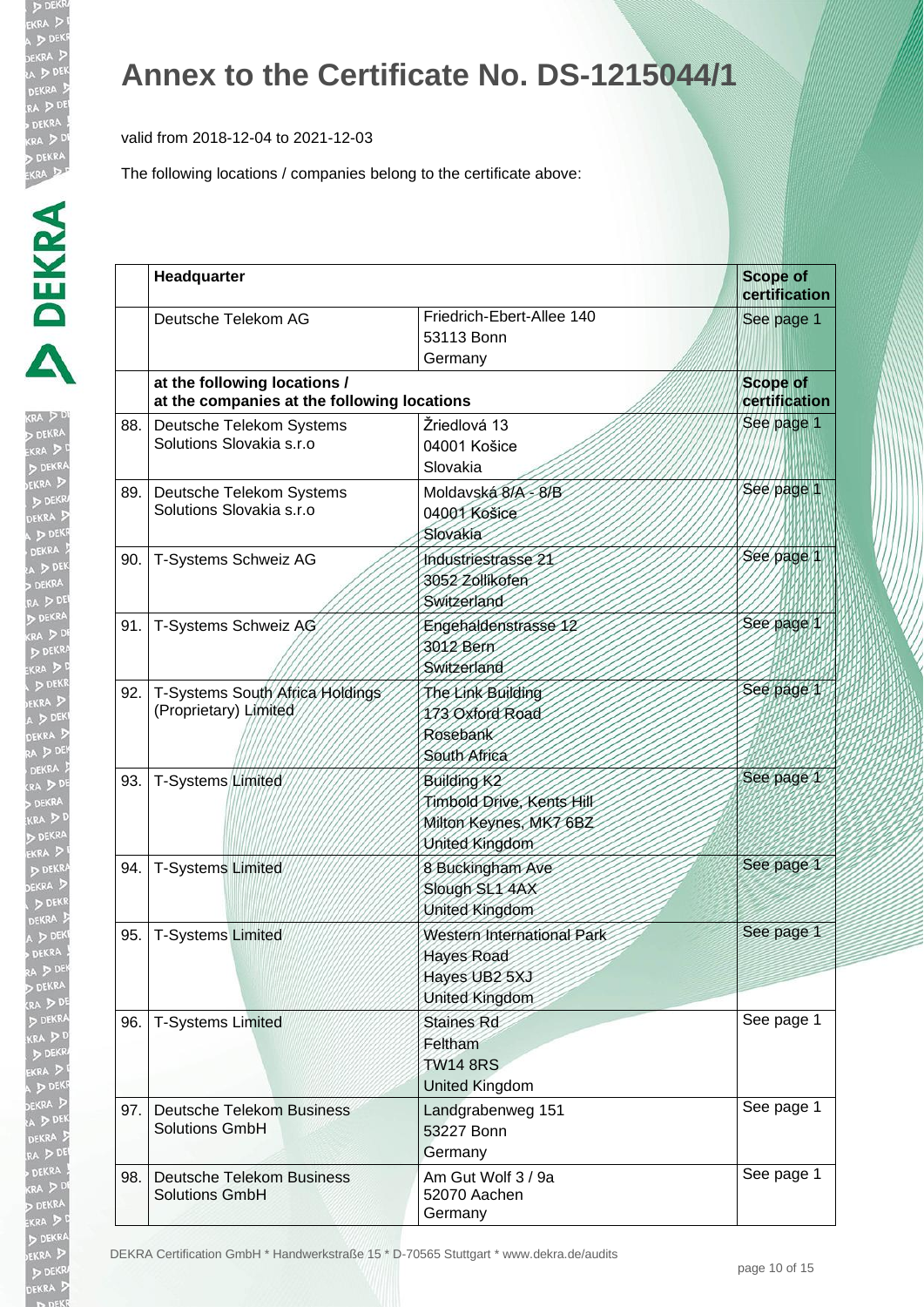valid from 2018-12-04 to 2021-12-03

The following locations / companies belong to the certificate above:

| y.                   |
|----------------------|
|                      |
|                      |
|                      |
|                      |
|                      |
|                      |
| $rac{1}{2}$          |
|                      |
|                      |
|                      |
| $\ddot{\phantom{a}}$ |
| D                    |
|                      |
|                      |
|                      |
|                      |
|                      |
|                      |
|                      |
|                      |
|                      |
|                      |
|                      |
|                      |
| ו<br>ו               |
|                      |
|                      |
|                      |
|                      |
|                      |
|                      |
|                      |
|                      |
|                      |
|                      |
|                      |
|                      |
|                      |
|                      |
|                      |
|                      |
|                      |
|                      |
|                      |
|                      |
|                      |
|                      |
|                      |
|                      |
|                      |
|                      |
|                      |
|                      |
|                      |
|                      |
|                      |
|                      |

|     | Headquarter                                                                 |                                                                                                  | <b>Scope of</b><br>certification |
|-----|-----------------------------------------------------------------------------|--------------------------------------------------------------------------------------------------|----------------------------------|
|     | Deutsche Telekom AG                                                         | Friedrich-Ebert-Allee 140<br>53113 Bonn<br>Germany                                               | See page 1                       |
|     | at the following locations /<br>at the companies at the following locations |                                                                                                  | <b>Scope of</b><br>certification |
| 88. | Deutsche Telekom Systems<br>Solutions Slovakia s.r.o                        | Žriedlová 13<br>04001 Košice<br>Slovakia                                                         | See page 1                       |
| 89. | Deutsche Telekom Systems<br>Solutions Slovakia s.r.o                        | Moldavská 8/A - 8/B<br>04001 Košice<br>Slovakia                                                  | See page 1                       |
| 90. | T-Systems Schweiz AG                                                        | Industriestrasse 21<br>3052 Zollikofen<br>Switzerland                                            | See page 1                       |
| 91. | T-Systems Schweiz AG                                                        | Engehaldenstrasse 12<br>3012 Bern<br>Switzerland                                                 | See page 1                       |
| 92. | T-Systems South Africa Holdings<br>(Proprietary) Limited                    | The Link Building<br>173 Oxford Road<br>Rosebank<br>South Africa                                 | See page 1                       |
| 93. | T-Systems Limited                                                           | Building K <sub>2</sub><br>Timbold Drive, Kents Hill<br>Milton Keynes, MK7 6BZ<br>United Kingdom | See page 1                       |
| 94. | <b>T-Systems Limited</b>                                                    | 8 Buckingham Ave<br>Slough SL1 4AX<br>United Kingdom                                             | See page 1                       |
| 95. | <b>T-Systems Limited</b>                                                    | Western International Park<br>Hayes Road<br>Hayes UB2 5XJ<br>United Kingdom                      | See page 1                       |
| 96. | <b>T-Systems Limited</b>                                                    | <b>Staines Rd</b><br>Feltham<br><b>TW14 8RS</b><br>United Kingdom                                | See page 1                       |
| 97. | <b>Deutsche Telekom Business</b><br><b>Solutions GmbH</b>                   | Landgrabenweg 151<br>53227 Bonn<br>Germany                                                       | See page 1                       |
| 98. | <b>Deutsche Telekom Business</b><br><b>Solutions GmbH</b>                   | Am Gut Wolf 3 / 9a<br>52070 Aachen<br>Germany                                                    | See page 1                       |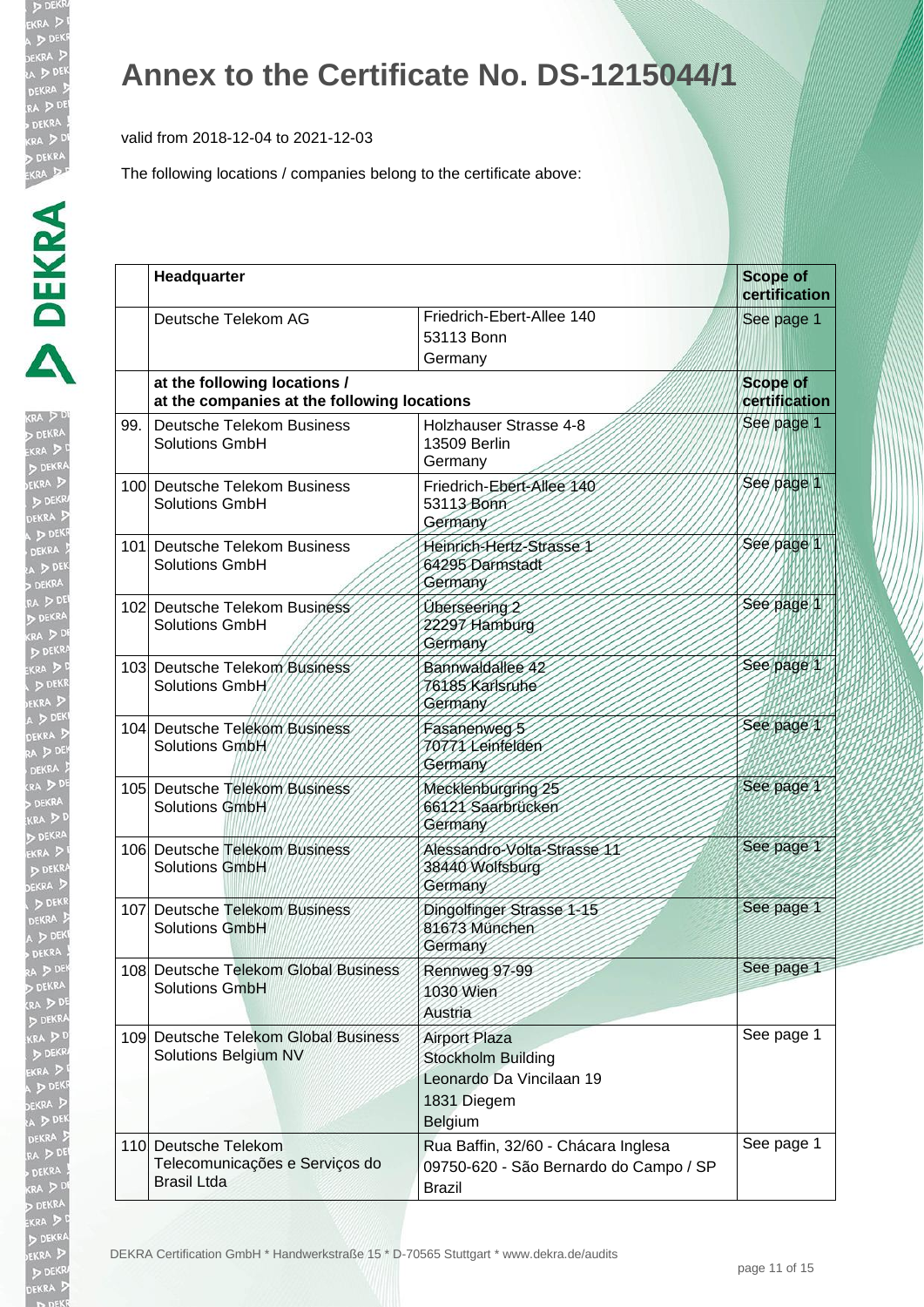**DE CRA** DE **JEKRA**  $D<sub>D</sub>$ 

D DEI EKRA  $DDE$ EKRA  $D$ 

#### **Annex to the Certificate No. DS-1215044/1**

valid from 2018-12-04 to 2021-12-03

|     | Headquarter                                                                  |                                                                                                  | <b>Scope of</b><br>certification |
|-----|------------------------------------------------------------------------------|--------------------------------------------------------------------------------------------------|----------------------------------|
|     | Deutsche Telekom AG                                                          | Friedrich-Ebert-Allee 140<br>53113 Bonn<br>Germany                                               | See page 1                       |
|     | at the following locations /<br>at the companies at the following locations  |                                                                                                  | <b>Scope of</b><br>certification |
| 99. | <b>Deutsche Telekom Business</b><br><b>Solutions GmbH</b>                    | Holzhauser Strasse 4-8<br>13509 Berlin<br>Germany                                                | See page 1                       |
|     | 100 Deutsche Telekom Business<br><b>Solutions GmbH</b>                       | Friedrich-Ebert-Allee 140<br>53113 Bonn<br>Germany                                               | See page 1                       |
|     | 101 Deutsche Telekom Business<br><b>Solutions GmbH</b>                       | Heinrich-Hertz-Strasse 1<br>64295 Darmstadt<br>Germany                                           | See page 1                       |
|     | 102 Deutsche Telekom Business<br><b>Solutions GmbH</b>                       | Überseering 2<br>22297 Hamburg<br>Germany                                                        | See page 1                       |
|     | 103 Deutsche Telekom Business<br>Solutions GmbH                              | Bannwaldallee 42<br>76185 Karlsruhe<br>Germany                                                   | See page 1                       |
|     | 104 Deutsche Telekom Business<br>Solutions GmbH                              | Fasanenweg 5<br>1011X Leinfelden<br>Germany                                                      | See page 1                       |
|     | 105 Deutsche Telekom Business<br>Solutions GmbH                              | Mecklenburgring 25<br>66121 Saarbrücken<br>Germany                                               | See page 1                       |
|     | 106 Deutsche Telekom Business<br>Solutions GmbH                              | Alessandro-Volta-Strasse 11<br>38440 Wolfsburg<br>Germany                                        | See page 1                       |
|     | 107 Deutsche Telekom Business<br>Solutions GmbH                              | Dingolfinger Strasse 1-15<br>81673 München<br>Germany                                            | See page 1                       |
|     | 108 Deutsche Telekom Global Business<br><b>Solutions GmbH</b>                | Rennweg 97-99<br>1030 Wien<br>Austria                                                            | See page 1                       |
|     | 109 Deutsche Telekom Global Business<br>Solutions Belgium NV                 | <b>Airport Plaza</b><br>Stockholm Building<br>Leonardo Da Vincilaan 19<br>1831 Diegem<br>Belgium | See page 1                       |
|     | 110 Deutsche Telekom<br>Telecomunicações e Serviços do<br><b>Brasil Ltda</b> | Rua Baffin, 32/60 - Chácara Inglesa<br>09750-620 - São Bernardo do Campo / SP<br><b>Brazil</b>   | See page 1                       |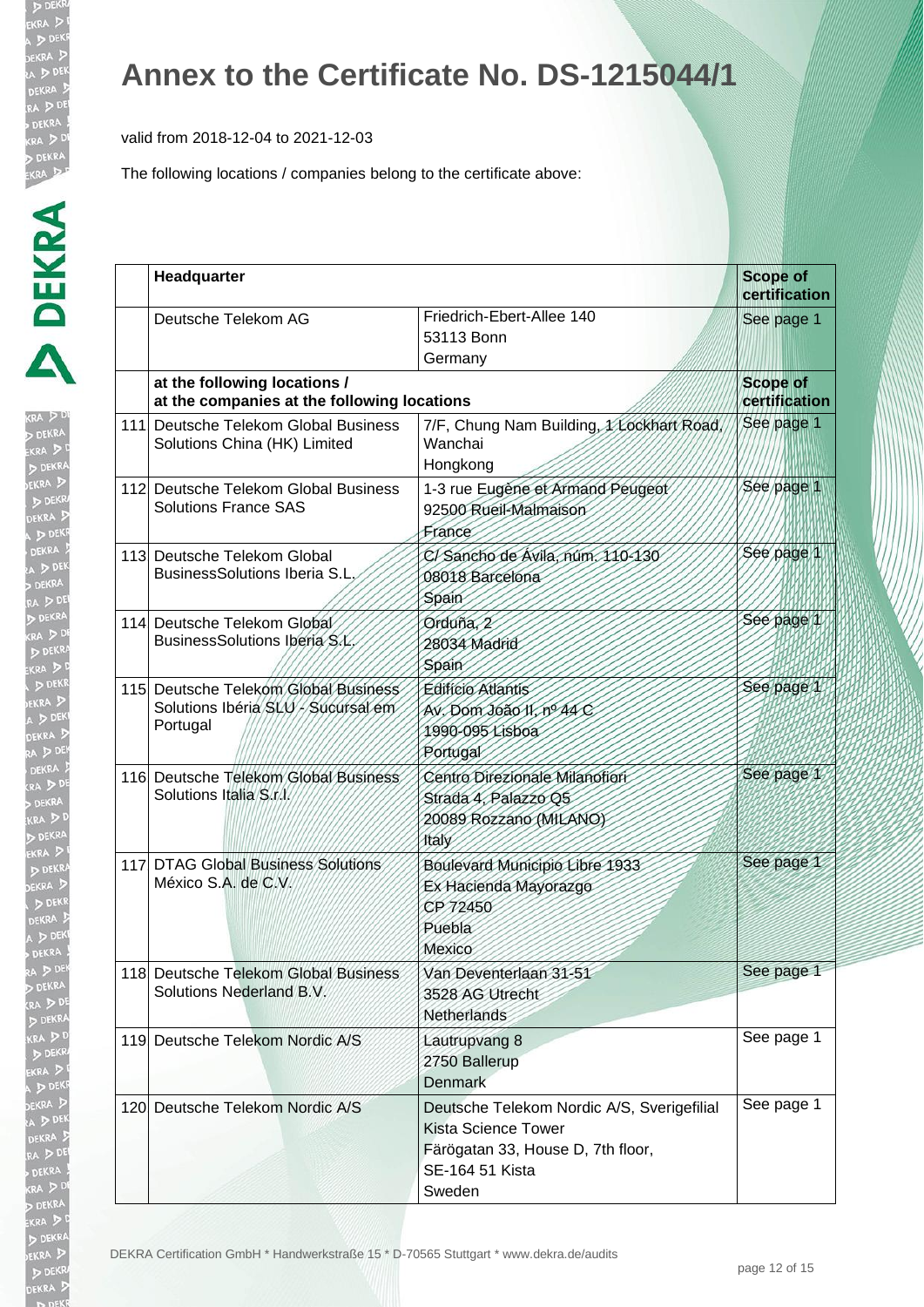valid from 2018-12-04 to 2021-12-03

| Î                                        |
|------------------------------------------|
| KRA<br>D D EKR<br>D EKI<br>D EKI<br>D EK |
|                                          |
|                                          |
|                                          |
|                                          |
|                                          |
|                                          |
|                                          |
| A ER                                     |
|                                          |
| $\frac{1}{2}$                            |
|                                          |
|                                          |
|                                          |
|                                          |
|                                          |
|                                          |
|                                          |
|                                          |
|                                          |
|                                          |
|                                          |
|                                          |
|                                          |
|                                          |
|                                          |
|                                          |
|                                          |
|                                          |
| RA D (R ) KI D EK D E J D A D A D        |
|                                          |
|                                          |
|                                          |
|                                          |
|                                          |
|                                          |
|                                          |
|                                          |
| ۱                                        |
|                                          |
| I                                        |
| ļ<br>l                                   |
|                                          |
| ĺ                                        |
| $\sim$                                   |
|                                          |
| ļ                                        |
|                                          |
|                                          |
|                                          |
|                                          |

| Headquarter                                                                            |                                                                                                                                            | <b>Scope of</b><br>certification |
|----------------------------------------------------------------------------------------|--------------------------------------------------------------------------------------------------------------------------------------------|----------------------------------|
| Deutsche Telekom AG                                                                    | Friedrich-Ebert-Allee 140<br>53113 Bonn<br>Germany                                                                                         | See page 1                       |
| at the following locations /<br>at the companies at the following locations            |                                                                                                                                            | <b>Scope of</b><br>certification |
| 111 Deutsche Telekom Global Business<br>Solutions China (HK) Limited                   | 7/F, Chung Nam Building, XXockhart Road,<br>Wanchai<br>Hongkong                                                                            | See page 1                       |
| 112 Deutsche Telekom Global Business<br><b>Solutions France SAS</b>                    | 1-3 rue Eugene et Armand Peugeot<br>92500 Rueil-Malmaison<br>France                                                                        | See page 1                       |
| 113 Deutsche Telekom Global<br><b>BusinessSolutions Iberia S.L.</b>                    | C/Sancho de Ávila, núm. 110-130<br>08018 Barcelona<br>Spain                                                                                | See page 1                       |
| 114 Deutsche Telekom Global<br>BusinessSolutions Iberia S.L                            | Orduña, 2<br>28034 Madrid<br><b>Spain</b>                                                                                                  | See page 1                       |
| 115 Deutsche Telekom Global Business<br>Solutions Ibéria SLU / Sucursal em<br>Portugal | <b>Edifício Atlantis</b><br>Av. Dom João II, nº 44 C<br>1990-095 Lisboa<br>Portugal                                                        | See page 1                       |
| 116 Deutsche Telekom Global Business<br>Solutions Italia S.t.l.                        | Centro Direzionale Milanofiori<br>Strada 4, Palazzo Q5<br>20089 Rozzano (MILANO)<br>Italy                                                  | See page 1                       |
| 117 DTAG Global Business Solutions<br>México S.A. de C.V.                              | Boulevard Municipio Libre 1933<br>Ex Hacienda Mayorazgo<br>CP 72450<br>Puebla<br>Mexico                                                    | See page 1                       |
| 118 Deutsche Telekom Global Business<br>Solutions Nederland B.V.                       | Van Deventerlaan 31-51<br>3528 AG Utrecht<br>Netherlands                                                                                   | See page 1                       |
| 119 Deutsche Telekom Nordic A/S                                                        | Lautrupvang 8<br>2750 Ballerup<br><b>Denmark</b>                                                                                           | See page 1                       |
| 120 Deutsche Telekom Nordic A/S                                                        | Deutsche Telekom Nordic A/S, Sverigefilial<br><b>Kista Science Tower</b><br>Färögatan 33, House D, 7th floor,<br>SE-164 51 Kista<br>Sweden | See page 1                       |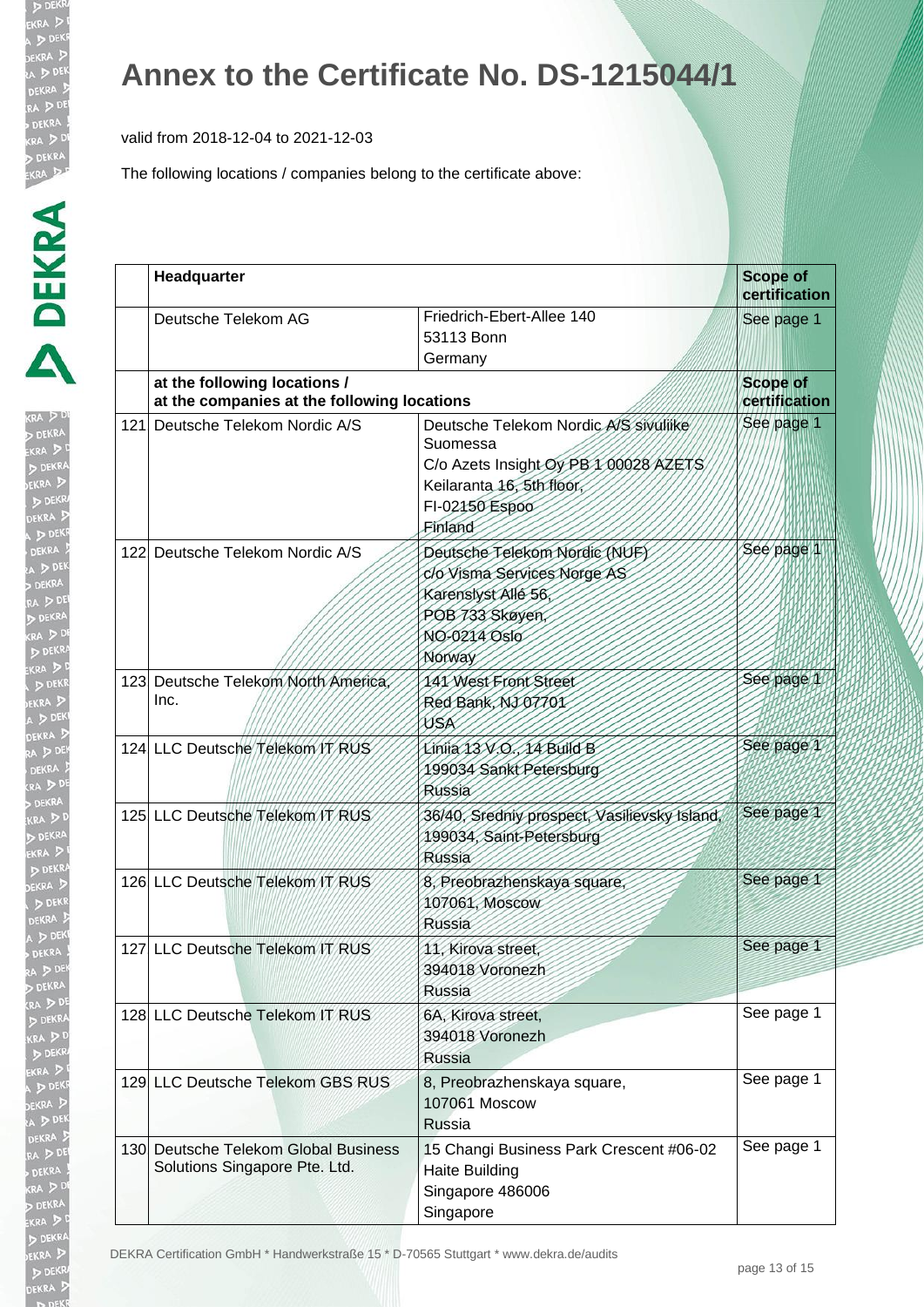valid from 2018-12-04 to 2021-12-03

| ŀ<br>RA .       |
|-----------------|
|                 |
|                 |
|                 |
|                 |
|                 |
|                 |
| l               |
|                 |
|                 |
|                 |
|                 |
|                 |
|                 |
|                 |
| à               |
|                 |
|                 |
|                 |
|                 |
|                 |
|                 |
| $\frac{1}{2}$   |
|                 |
|                 |
|                 |
|                 |
| <r< td=""></r<> |
|                 |
|                 |
|                 |
|                 |
|                 |
|                 |
|                 |
|                 |
|                 |
|                 |
|                 |
|                 |
|                 |
|                 |
|                 |
|                 |
|                 |
|                 |
|                 |
|                 |
|                 |

| Headquarter                                                                 |                                                                                                                                                      | <b>Scope of</b><br>certification |  |
|-----------------------------------------------------------------------------|------------------------------------------------------------------------------------------------------------------------------------------------------|----------------------------------|--|
| Deutsche Telekom AG                                                         | Friedrich-Ebert-Allee 140<br>53113 Bonn<br>Germany                                                                                                   | See page 1                       |  |
| at the following locations /<br>at the companies at the following locations |                                                                                                                                                      | <b>Scope of</b><br>certification |  |
| 121. Deutsche Telekom Nordic A/S                                            | Deutsche Telekom Nordic A/S sivuliike<br>Suomessa<br>C/o Azets Insight Oy PB 1 00028 AZETS<br>Keilaranta 16, 5th floor,<br>FI-02150 Espoo<br>Einland | See page 1                       |  |
| 122 Deutsche Telekom Nordic A/S                                             | Deutsche Telekom Nordic (NUF)<br>clo Visma Services Norge AS<br>Karenslyst Allé 56,<br>POB 733 Skøyen,<br>NO-0214 Oslo<br>Norway                     | See page 1                       |  |
| 123 Deutsche Telekom North America<br>Inc.                                  | 141 West Front Street<br>Red Bank, NJ 07701<br>USA                                                                                                   | See page 1                       |  |
| 124 LLC Deutsche Telekom IT RUS                                             | Linija 13 V.O., 14 Build B<br>199034 Sankt Petersburg<br>Russia                                                                                      | See page 1                       |  |
| 125 LLC Deutsche Telekom /T RUS                                             | 36/40, Sredniy prospect, Vasilievsky Island,<br>199034, Saint-Petersburg<br>Russia                                                                   | See page 1                       |  |
| 126 LLC Deutsche Telekom IT RUS                                             | 8, Preobrazhenskaya square,<br>107061, Moscow<br><b>Russia</b>                                                                                       | See page 1                       |  |
| 127 LLC Deutsche Telekom IT RUS                                             | 11, Kirova street,<br>394018 Voronezh<br><b>Russia</b>                                                                                               | See page 1                       |  |
| 128 LLC Deutsche Telekom IT RUS                                             | 6A, Kirova street,<br>394018 Voronezh<br><b>Russia</b>                                                                                               | See page 1                       |  |
| 129 LLC Deutsche Telekom GBS RUS                                            | 8, Preobrazhenskaya square,<br>107061 Moscow<br><b>Russia</b>                                                                                        | See page 1                       |  |
| 130 Deutsche Telekom Global Business<br>Solutions Singapore Pte. Ltd.       | 15 Changi Business Park Crescent #06-02<br><b>Haite Building</b><br>Singapore 486006<br>Singapore                                                    | See page 1                       |  |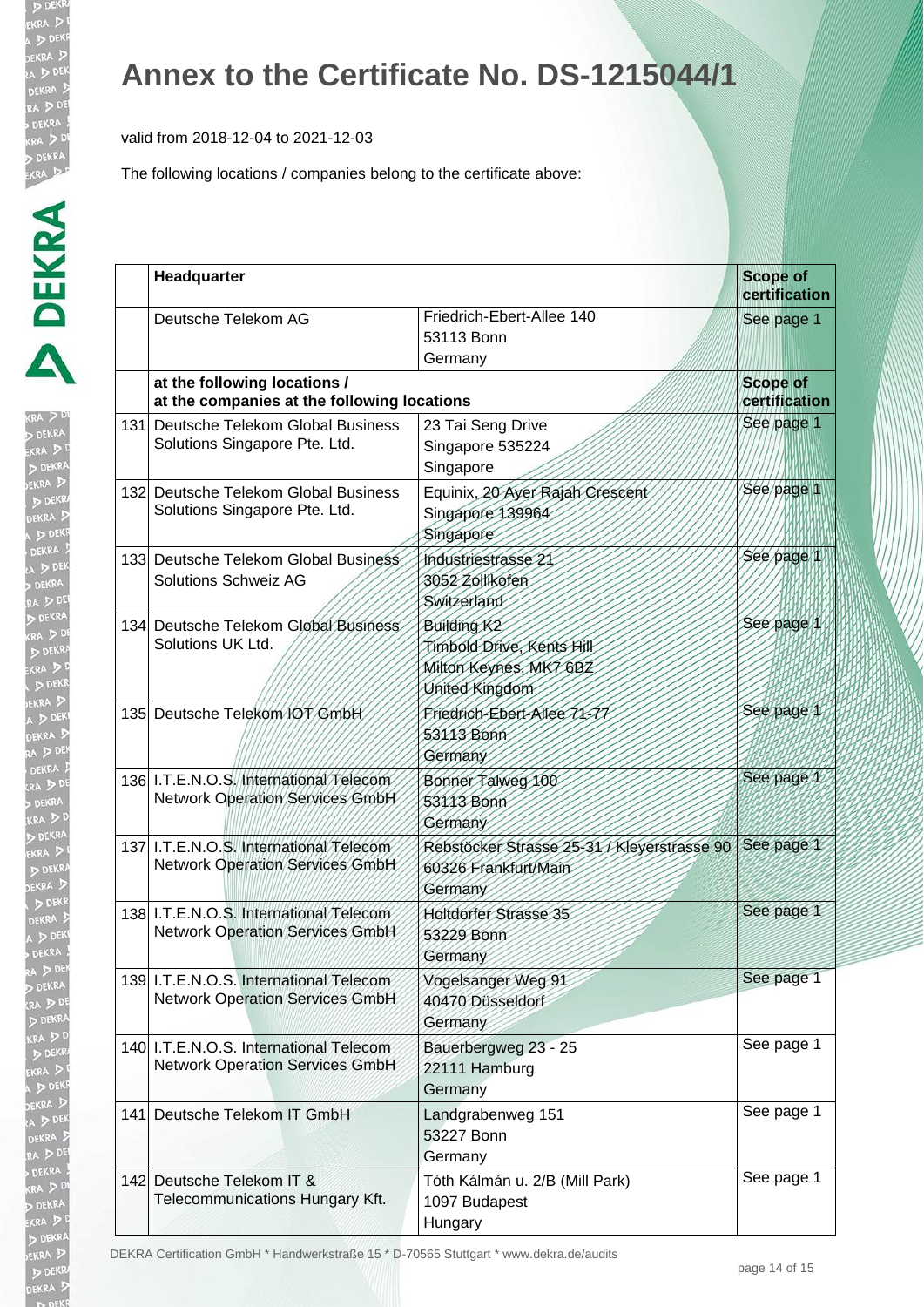valid from 2018-12-04 to 2021-12-03

The following locations / companies belong to the certificate above:

| KR.                        |
|----------------------------|
|                            |
|                            |
|                            |
|                            |
|                            |
|                            |
|                            |
|                            |
|                            |
|                            |
|                            |
| <b>D</b><br>DR<br>DEN<br>A |
|                            |
|                            |
|                            |
|                            |
|                            |
| į<br>KR<br>J               |
|                            |
| I                          |
|                            |
|                            |
|                            |
| $\frac{1}{2}$              |
|                            |
|                            |
|                            |
|                            |
|                            |
|                            |
|                            |
|                            |
|                            |
|                            |
|                            |
|                            |
|                            |
|                            |
|                            |
|                            |
|                            |
| I                          |
|                            |
| リンパン<br>l                  |
|                            |
|                            |
|                            |
|                            |
|                            |
|                            |
|                            |

| Headquarter                                                                      | <b>Scope of</b><br>certification                                                                 |            |
|----------------------------------------------------------------------------------|--------------------------------------------------------------------------------------------------|------------|
| Deutsche Telekom AG                                                              | Friedrich-Ebert-Allee 140<br>53113 Bonn<br>Germany                                               | See page 1 |
| at the following locations /<br>at the companies at the following locations      | <b>Scope of</b><br>certification                                                                 |            |
| 131 Deutsche Telekom Global Business<br>Solutions Singapore Pte. Ltd.            | 23 Tai Seng Drive<br>Singapore 535224<br>Singapore                                               | See page 1 |
| 132 Deutsche Telekom Global Business<br>Solutions Singapore Pte. Ltd.            | Equinix, 20 Ayer Rajah Crescent<br>Singapore 139964<br>Singapore                                 | See page 1 |
| 133 Deutsche Telekom Global Business<br><b>Solutions Schweiz AG</b>              | Industriestrasse 21<br>3052 Zollikofen<br>Switzerland                                            | See page   |
| 134 Deutsche Telekom Global Business<br>Solutions UK Ltd.                        | Building K <sub>2</sub><br>Timbold Drive, Kents Hill<br>Milton Keynes, MK7 6BZ<br>United Kingdom | See page   |
| 135 Deutsche Telekom IOT GmbH                                                    | Friedrich-Ebert-Allee 71-77<br>53113 Bonn<br>Germany                                             | See page 1 |
| 136 I.T.E.N.O.S. International Telecom<br><b>Network Operation Services GmbH</b> | Bonner Talweg 100<br>53113 Bonn<br>Germany                                                       | See page 1 |
| 137 I.T.E.N.O.S. International Telecom<br><b>Network Operation Services GmbH</b> | Rebstöcker Strasse 25-31 / Kleyerstrasse 90<br>60326 Frankfurt/Main<br>Germany                   | See page 1 |
| 138 I.T.E.N.O.S. International Telecom<br><b>Network Operation Services GmbH</b> | <b>Holtdorfer Strasse 35</b><br>53229 Bonn<br>Germany                                            | See page 1 |
| 139 I.T.E.N.O.S. International Telecom<br><b>Network Operation Services GmbH</b> | Vogelsanger Weg 91<br>40470 Düsseldorf<br>Germany                                                | See page 1 |
| 140 I.T.E.N.O.S. International Telecom<br><b>Network Operation Services GmbH</b> | Bauerbergweg 23 - 25<br>22111 Hamburg<br>Germany                                                 | See page 1 |
| 141. Deutsche Telekom IT GmbH                                                    | Landgrabenweg 151<br>53227 Bonn<br>Germany                                                       | See page 1 |
| 142 Deutsche Telekom IT &<br>Telecommunications Hungary Kft.                     | Tóth Kálmán u. 2/B (Mill Park)<br>1097 Budapest<br>Hungary                                       | See page 1 |